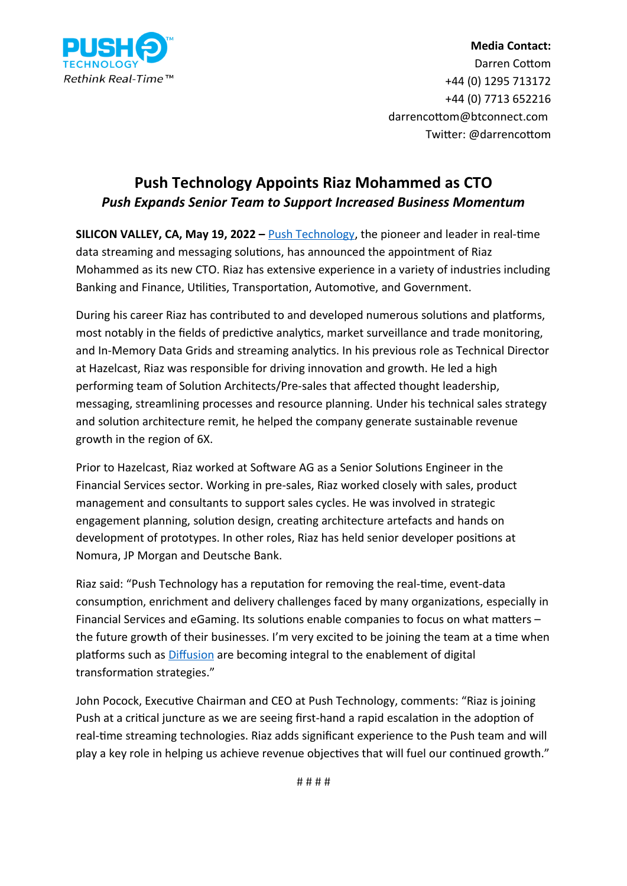

## **Media Contact:** Darren Cottom +44 (0) 1295 713172 +44 (0) 7713 652216 darrencottom@btconnect.com Twitter: @darrencottom

## **Push Technology Appoints Riaz Mohammed as CTO** *Push Expands Senior Team to Support Increased Business Momentum*

**SILICON VALLEY, CA, May 19, 2022 –** *Push Technology*, the pioneer and leader in real-time data streaming and messaging solutions, has announced the appointment of Riaz Mohammed as its new CTO. Riaz has extensive experience in a variety of industries including Banking and Finance, Utilities, Transportation, Automotive, and Government.

During his career Riaz has contributed to and developed numerous solutions and platforms, most notably in the fields of predictive analytics, market surveillance and trade monitoring, and In-Memory Data Grids and streaming analytics. In his previous role as Technical Director at Hazelcast, Riaz was responsible for driving innovation and growth. He led a high performing team of Solution Architects/Pre-sales that affected thought leadership, messaging, streamlining processes and resource planning. Under his technical sales strategy and solution architecture remit, he helped the company generate sustainable revenue growth in the region of 6X.

Prior to Hazelcast, Riaz worked at Software AG as a Senior Solutions Engineer in the Financial Services sector. Working in pre-sales, Riaz worked closely with sales, product management and consultants to support sales cycles. He was involved in strategic engagement planning, solution design, creating architecture artefacts and hands on development of prototypes. In other roles, Riaz has held senior developer positions at Nomura, JP Morgan and Deutsche Bank.

Riaz said: "Push Technology has a reputation for removing the real-time, event-data consumption, enrichment and delivery challenges faced by many organizations, especially in Financial Services and eGaming. Its solutions enable companies to focus on what matters – the future growth of their businesses. I'm very excited to be joining the team at a time when platforms such as **[Diffusion](https://www.pushtechnology.com/product-overview)** are becoming integral to the enablement of digital transformation strategies."

John Pocock, Executive Chairman and CEO at Push Technology, comments: "Riaz is joining Push at a critical juncture as we are seeing first-hand a rapid escalation in the adoption of real-time streaming technologies. Riaz adds significant experience to the Push team and will play a key role in helping us achieve revenue objectives that will fuel our continued growth."